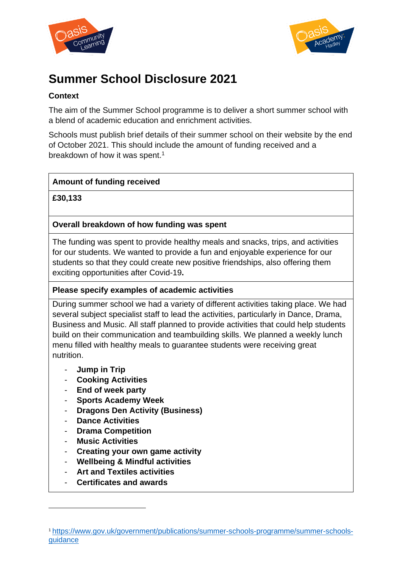



# **Summer School Disclosure 2021**

## **Context**

The aim of the Summer School programme is to deliver a short summer school with a blend of academic education and enrichment activities.

Schools must publish brief details of their summer school on their website by the end of October 2021. This should include the amount of funding received and a breakdown of how it was spent.<sup>1</sup>

## **Amount of funding received**

**£30,133**

## **Overall breakdown of how funding was spent**

The funding was spent to provide healthy meals and snacks, trips, and activities for our students. We wanted to provide a fun and enjoyable experience for our students so that they could create new positive friendships, also offering them exciting opportunities after Covid-19**.**

### **Please specify examples of academic activities**

During summer school we had a variety of different activities taking place. We had several subject specialist staff to lead the activities, particularly in Dance, Drama, Business and Music. All staff planned to provide activities that could help students build on their communication and teambuilding skills. We planned a weekly lunch menu filled with healthy meals to guarantee students were receiving great nutrition.

- **Jump in Trip**
- **Cooking Activities**
- **End of week party**
- **Sports Academy Week**
- **Dragons Den Activity (Business)**
- **Dance Activities**
- **Drama Competition**
- **Music Activities**
- **Creating your own game activity**
- **Wellbeing & Mindful activities**
- **Art and Textiles activities**
- **Certificates and awards**

<sup>1</sup> [https://www.gov.uk/government/publications/summer-schools-programme/summer-schools](https://www.gov.uk/government/publications/summer-schools-programme/summer-schools-guidance)[guidance](https://www.gov.uk/government/publications/summer-schools-programme/summer-schools-guidance)